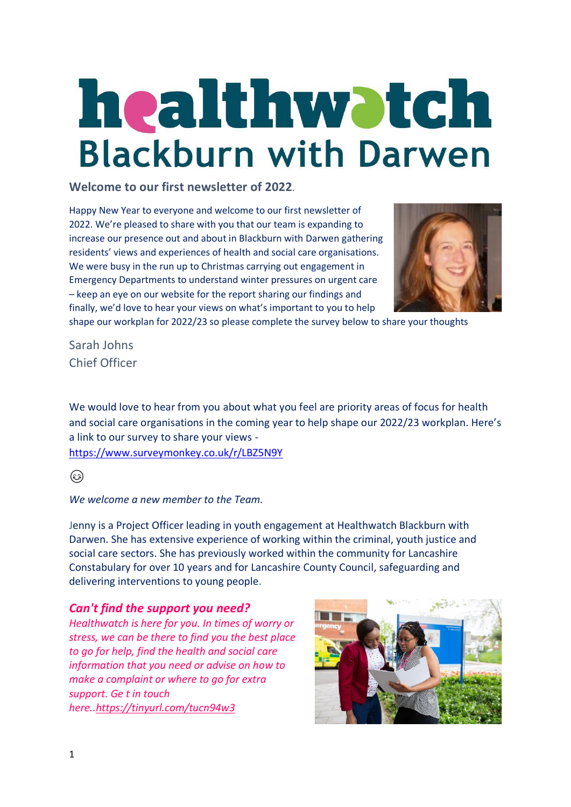# **healthwatch**<br>Blackburn with Darwen

**Welcome to our first newsletter of 2022**.

Happy New Year to everyone and welcome to our first newsletter of 2022. We're pleased to share with you that our team is expanding to increase our presence out and about in Blackburn with Darwen gathering residents' views and experiences of health and social care organisations. We were busy in the run up to Christmas carrying out engagement in Emergency Departments to understand winter pressures on urgent care – keep an eye on our website for the report sharing our findings and finally, we'd love to hear your views on what's important to you to help



shape our workplan for 2022/23 so please complete the survey below to share your thoughts

Sarah Johns Chief Officer

We would love to hear from you about what you feel are priority areas of focus for health and social care organisations in the coming year to help shape our 2022/23 workplan. Here's a link to our survey to share your views [https://www.surveymonkey.co.uk/r/LBZ5N9Y](https://www.surveymonkey.co.uk/r/LBZ5N9Y?fbclid=IwAR2llfHo5gkc8oQ9dk7yX2XR08giCqdPJyjYgRqXuJnl0HgnBWyUvxgjj6g)

۵

*We welcome a new member to the Team.*

Jenny is a Project Officer leading in youth engagement at Healthwatch Blackburn with Darwen. She has extensive experience of working within the criminal, youth justice and social care sectors. She has previously worked within the community for Lancashire Constabulary for over 10 years and for Lancashire County Council, safeguarding and delivering interventions to young people.

# *Can't find the support you need?*

*Healthwatch is here for you. In times of worry or stress, we can be there to find you the best place to go for help, find the health and social care information that you need or advise on how to make a complaint or where to go for extra support. Ge t in touch here.[.https://tinyurl.com/tucn94w3](https://tinyurl.com/tucn94w3)*

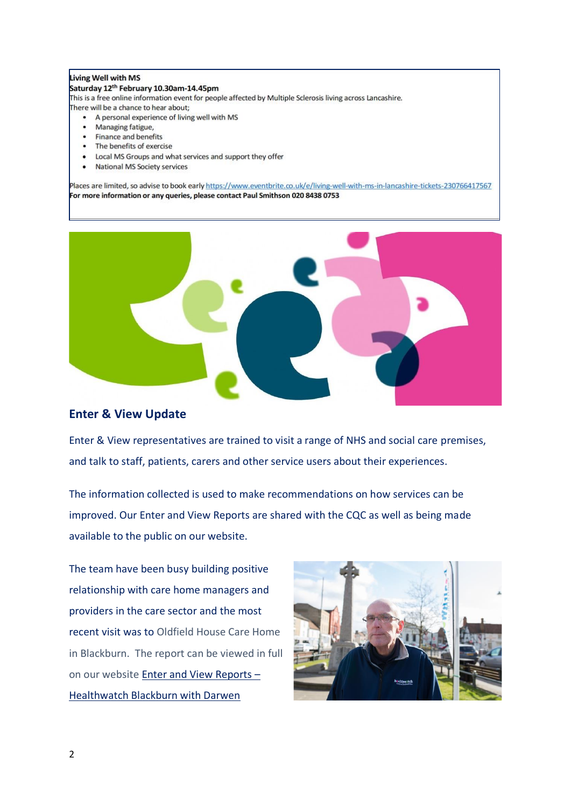### Living Well with MS

### Saturday 12<sup>th</sup> February 10.30am-14.45pm

This is a free online information event for people affected by Multiple Sclerosis living across Lancashire.

There will be a chance to hear about;

- A personal experience of living well with MS
- Managing fatigue,
- Finance and benefits
- The benefits of exercise
- Local MS Groups and what services and support they offer
- National MS Society services

Places are limited, so advise to book early https://www.eventbrite.co.uk/e/living-well-with-ms-in-lancashire-tickets-230766417567 For more information or any queries, please contact Paul Smithson 020 8438 0753



## **Enter & View Update**

Enter & View representatives are trained to visit a range of NHS and social care premises, and talk to staff, patients, carers and other service users about their experiences.

The information collected is used to make recommendations on how services can be improved. Our Enter and View Reports are shared with the CQC as well as being made available to the public on our website.

The team have been busy building positive relationship with care home managers and providers in the care sector and the most recent visit was to Oldfield House Care Home in Blackburn. The report can be viewed in full on our website [Enter and View Reports](https://healthwatchblackburnwithdarwen.co.uk/enter-view/enter-and-view-reports/) – [Healthwatch Blackburn with Darwen](https://healthwatchblackburnwithdarwen.co.uk/enter-view/enter-and-view-reports/)

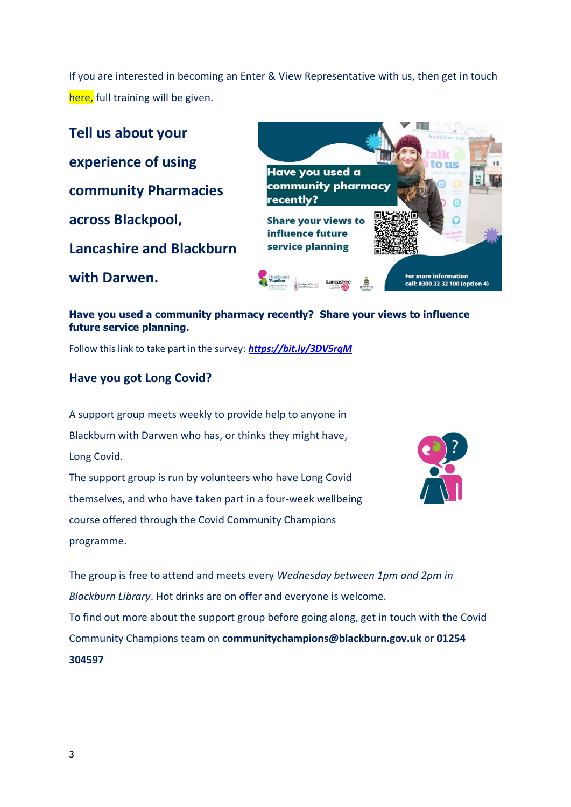If you are interested in becoming an Enter & View Representative with us, then get in touch [here,](https://healthwatchblackburnwithdarwen.co.uk/enter-view/become-enter-and-view-representative/) full training will be given.

**Tell us about your experience of using community Pharmacies across Blackpool, Lancashire and Blackburn with Darwen.**



**Have you used a community pharmacy recently? Share your views to influence future service planning.** 

Follow this link to take part in the survey: *<https://bit.ly/3DV5rqM>*

# **Have you got Long Covid?**

A support group meets weekly to provide help to anyone in Blackburn with Darwen who has, or thinks they might have, Long Covid.

The support group is run by volunteers who have Long Covid themselves, and who have taken part in a four-week wellbeing course offered through the Covid Community Champions programme.



The group is free to attend and meets every *Wednesday between 1pm and 2pm in Blackburn Library*. Hot drinks are on offer and everyone is welcome. To find out more about the support group before going along, get in touch with the Covid Community Champions team on **communitychampions@blackburn.gov.uk** or **01254 304597**